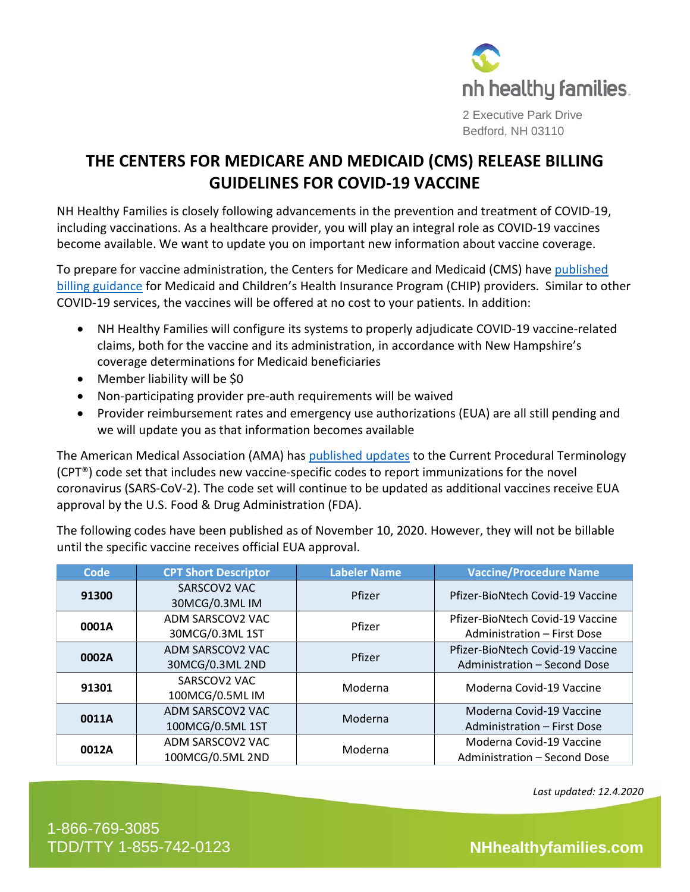

2 Executive Park Drive Bedford, NH 03110

## **THE CENTERS FOR MEDICARE AND MEDICAID (CMS) RELEASE BILLING GUIDELINES FOR COVID-19 VACCINE**

NH Healthy Families is closely following advancements in the prevention and treatment of COVID-19, including vaccinations. As a healthcare provider, you will play an integral role as COVID-19 vaccines become available. We want to update you on important new information about vaccine coverage.

To prepare for vaccine administration, the Centers for Medicare and Medicaid (CMS) have [published](https://www.medicaid.gov/state-resource-center/downloads/covid-19-vaccine-toolkit.pdf)  [billing guidance](https://www.medicaid.gov/state-resource-center/downloads/covid-19-vaccine-toolkit.pdf) for Medicaid and Children's Health Insurance Program (CHIP) providers. Similar to other COVID-19 services, the vaccines will be offered at no cost to your patients. In addition:

- NH Healthy Families will configure its systems to properly adjudicate COVID-19 vaccine-related claims, both for the vaccine and its administration, in accordance with New Hampshire's coverage determinations for Medicaid beneficiaries
- Member liability will be \$0
- Non-participating provider pre-auth requirements will be waived
- Provider reimbursement rates and emergency use authorizations (EUA) are all still pending and we will update you as that information becomes available

The American Medical Association (AMA) has [published updates](https://www.ama-assn.org/practice-management/cpt/covid-19-cpt-coding-and-guidance) to the Current Procedural Terminology (CPT®) code set that includes new vaccine-specific codes to report immunizations for the novel coronavirus (SARS-CoV-2). The code set will continue to be updated as additional vaccines receive EUA approval by the U.S. Food & Drug Administration (FDA).

The following codes have been published as of November 10, 2020. However, they will not be billable until the specific vaccine receives official EUA approval.

| <b>Code</b> | <b>CPT Short Descriptor</b>          | <b>Labeler Name</b> | <b>Vaccine/Procedure Name</b>                                    |
|-------------|--------------------------------------|---------------------|------------------------------------------------------------------|
| 91300       | SARSCOV2 VAC<br>30MCG/0.3ML IM       | Pfizer              | Pfizer-BioNtech Covid-19 Vaccine                                 |
| 0001A       | ADM SARSCOV2 VAC<br>30MCG/0.3ML 1ST  | Pfizer              | Pfizer-BioNtech Covid-19 Vaccine<br>Administration - First Dose  |
| 0002A       | ADM SARSCOV2 VAC<br>30MCG/0.3ML 2ND  | Pfizer              | Pfizer-BioNtech Covid-19 Vaccine<br>Administration - Second Dose |
| 91301       | SARSCOV2 VAC<br>100MCG/0.5ML IM      | Moderna             | Moderna Covid-19 Vaccine                                         |
| 0011A       | ADM SARSCOV2 VAC<br>100MCG/0.5ML 1ST | Moderna             | Moderna Covid-19 Vaccine<br>Administration - First Dose          |
| 0012A       | ADM SARSCOV2 VAC<br>100MCG/0.5ML 2ND | Moderna             | Moderna Covid-19 Vaccine<br>Administration - Second Dose         |

*Last updated: 12.4.2020*